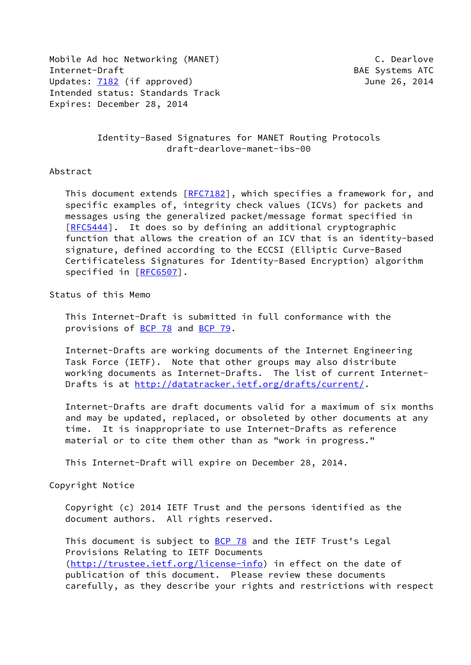Mobile Ad hoc Networking (MANET) C. Dearlove Internet-Draft BAE Systems ATC Updates: [7182](https://datatracker.ietf.org/doc/pdf/rfc7182) (if approved) 300 minutes: 7182 (if approved) Intended status: Standards Track Expires: December 28, 2014

 Identity-Based Signatures for MANET Routing Protocols draft-dearlove-manet-ibs-00

Abstract

This document extends [[RFC7182](https://datatracker.ietf.org/doc/pdf/rfc7182)], which specifies a framework for, and specific examples of, integrity check values (ICVs) for packets and messages using the generalized packet/message format specified in [\[RFC5444](https://datatracker.ietf.org/doc/pdf/rfc5444)]. It does so by defining an additional cryptographic function that allows the creation of an ICV that is an identity-based signature, defined according to the ECCSI (Elliptic Curve-Based Certificateless Signatures for Identity-Based Encryption) algorithm specified in [\[RFC6507](https://datatracker.ietf.org/doc/pdf/rfc6507)].

Status of this Memo

 This Internet-Draft is submitted in full conformance with the provisions of [BCP 78](https://datatracker.ietf.org/doc/pdf/bcp78) and [BCP 79](https://datatracker.ietf.org/doc/pdf/bcp79).

 Internet-Drafts are working documents of the Internet Engineering Task Force (IETF). Note that other groups may also distribute working documents as Internet-Drafts. The list of current Internet- Drafts is at<http://datatracker.ietf.org/drafts/current/>.

 Internet-Drafts are draft documents valid for a maximum of six months and may be updated, replaced, or obsoleted by other documents at any time. It is inappropriate to use Internet-Drafts as reference material or to cite them other than as "work in progress."

This Internet-Draft will expire on December 28, 2014.

Copyright Notice

 Copyright (c) 2014 IETF Trust and the persons identified as the document authors. All rights reserved.

This document is subject to **[BCP 78](https://datatracker.ietf.org/doc/pdf/bcp78)** and the IETF Trust's Legal Provisions Relating to IETF Documents [\(http://trustee.ietf.org/license-info](http://trustee.ietf.org/license-info)) in effect on the date of publication of this document. Please review these documents carefully, as they describe your rights and restrictions with respect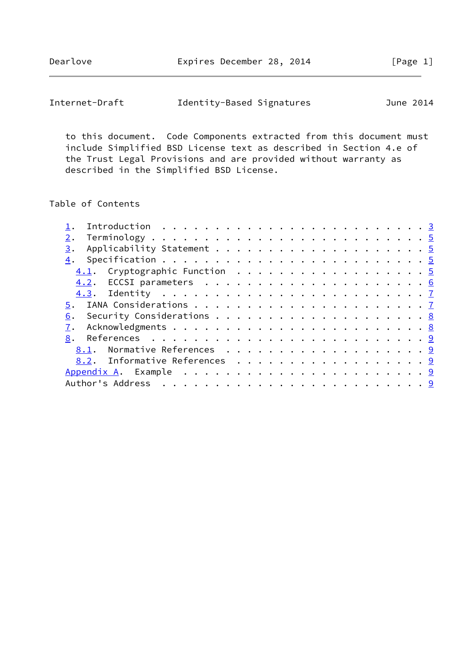Dearlove **Expires December 28, 2014** [Page 1]

| Internet-Draft | Identity-Based Signatures | June 2014 |
|----------------|---------------------------|-----------|
|----------------|---------------------------|-----------|

 to this document. Code Components extracted from this document must include Simplified BSD License text as described in Section 4.e of the Trust Legal Provisions and are provided without warranty as described in the Simplified BSD License.

# Table of Contents

| 3.                            |  |
|-------------------------------|--|
|                               |  |
|                               |  |
|                               |  |
|                               |  |
|                               |  |
|                               |  |
|                               |  |
|                               |  |
| 8.1. Normative References 9   |  |
| 8.2. Informative References 9 |  |
|                               |  |
|                               |  |
|                               |  |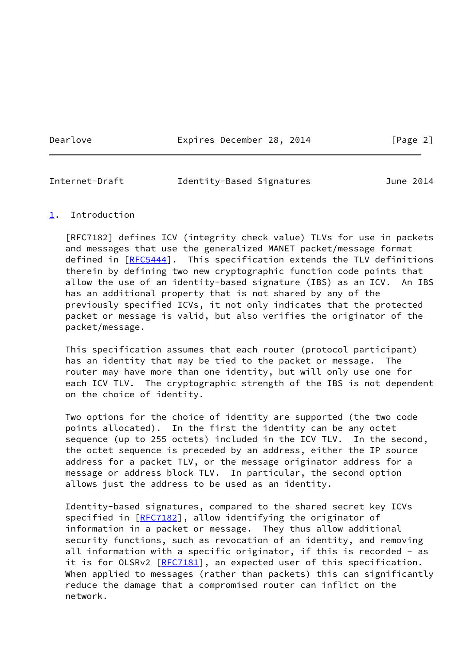Dearlove **Expires December 28, 2014** [Page 2]

<span id="page-2-1"></span>

| Internet-Draft | Identity-Based Signatures | June 2014 |
|----------------|---------------------------|-----------|
|                |                           |           |

#### <span id="page-2-0"></span>[1](#page-2-0). Introduction

 [RFC7182] defines ICV (integrity check value) TLVs for use in packets and messages that use the generalized MANET packet/message format defined in [[RFC5444\]](https://datatracker.ietf.org/doc/pdf/rfc5444). This specification extends the TLV definitions therein by defining two new cryptographic function code points that allow the use of an identity-based signature (IBS) as an ICV. An IBS has an additional property that is not shared by any of the previously specified ICVs, it not only indicates that the protected packet or message is valid, but also verifies the originator of the packet/message.

 This specification assumes that each router (protocol participant) has an identity that may be tied to the packet or message. The router may have more than one identity, but will only use one for each ICV TLV. The cryptographic strength of the IBS is not dependent on the choice of identity.

 Two options for the choice of identity are supported (the two code points allocated). In the first the identity can be any octet sequence (up to 255 octets) included in the ICV TLV. In the second, the octet sequence is preceded by an address, either the IP source address for a packet TLV, or the message originator address for a message or address block TLV. In particular, the second option allows just the address to be used as an identity.

 Identity-based signatures, compared to the shared secret key ICVs specified in [\[RFC7182](https://datatracker.ietf.org/doc/pdf/rfc7182)], allow identifying the originator of information in a packet or message. They thus allow additional security functions, such as revocation of an identity, and removing all information with a specific originator, if this is recorded - as it is for OLSRv2 [\[RFC7181](https://datatracker.ietf.org/doc/pdf/rfc7181)], an expected user of this specification. When applied to messages (rather than packets) this can significantly reduce the damage that a compromised router can inflict on the network.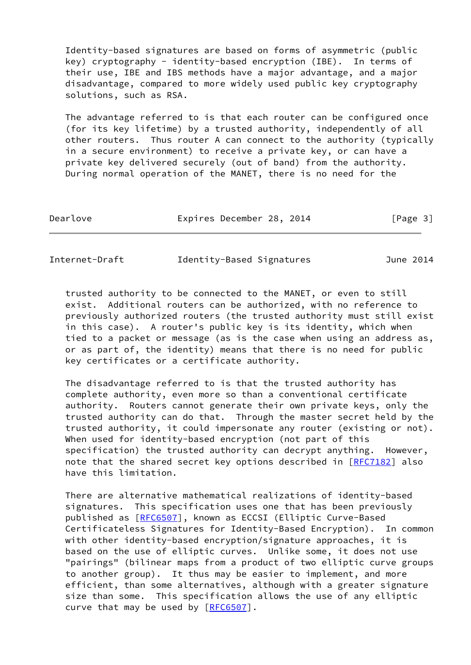Identity-based signatures are based on forms of asymmetric (public key) cryptography - identity-based encryption (IBE). In terms of their use, IBE and IBS methods have a major advantage, and a major disadvantage, compared to more widely used public key cryptography solutions, such as RSA.

 The advantage referred to is that each router can be configured once (for its key lifetime) by a trusted authority, independently of all other routers. Thus router A can connect to the authority (typically in a secure environment) to receive a private key, or can have a private key delivered securely (out of band) from the authority. During normal operation of the MANET, there is no need for the

| Dearlove | Expires December 28, 2014 |  | [Page 3] |  |
|----------|---------------------------|--|----------|--|
|          |                           |  |          |  |

Internet-Draft Identity-Based Signatures June 2014

 trusted authority to be connected to the MANET, or even to still exist. Additional routers can be authorized, with no reference to previously authorized routers (the trusted authority must still exist in this case). A router's public key is its identity, which when tied to a packet or message (as is the case when using an address as, or as part of, the identity) means that there is no need for public key certificates or a certificate authority.

 The disadvantage referred to is that the trusted authority has complete authority, even more so than a conventional certificate authority. Routers cannot generate their own private keys, only the trusted authority can do that. Through the master secret held by the trusted authority, it could impersonate any router (existing or not). When used for identity-based encryption (not part of this specification) the trusted authority can decrypt anything. However, note that the shared secret key options described in [\[RFC7182](https://datatracker.ietf.org/doc/pdf/rfc7182)] also have this limitation.

 There are alternative mathematical realizations of identity-based signatures. This specification uses one that has been previously published as [\[RFC6507](https://datatracker.ietf.org/doc/pdf/rfc6507)], known as ECCSI (Elliptic Curve-Based Certificateless Signatures for Identity-Based Encryption). In common with other identity-based encryption/signature approaches, it is based on the use of elliptic curves. Unlike some, it does not use "pairings" (bilinear maps from a product of two elliptic curve groups to another group). It thus may be easier to implement, and more efficient, than some alternatives, although with a greater signature size than some. This specification allows the use of any elliptic curve that may be used by  $[REC 6507]$ .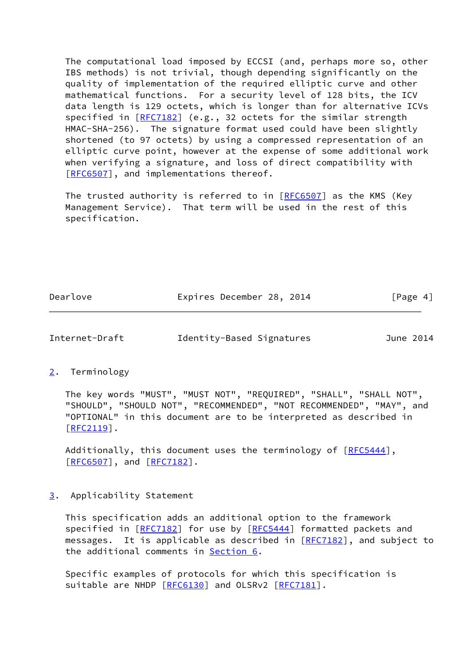The computational load imposed by ECCSI (and, perhaps more so, other IBS methods) is not trivial, though depending significantly on the quality of implementation of the required elliptic curve and other mathematical functions. For a security level of 128 bits, the ICV data length is 129 octets, which is longer than for alternative ICVs specified in [\[RFC7182](https://datatracker.ietf.org/doc/pdf/rfc7182)] (e.g., 32 octets for the similar strength HMAC-SHA-256). The signature format used could have been slightly shortened (to 97 octets) by using a compressed representation of an elliptic curve point, however at the expense of some additional work when verifying a signature, and loss of direct compatibility with [\[RFC6507](https://datatracker.ietf.org/doc/pdf/rfc6507)], and implementations thereof.

The trusted authority is referred to in [\[RFC6507](https://datatracker.ietf.org/doc/pdf/rfc6507)] as the KMS (Key Management Service). That term will be used in the rest of this specification.

Dearlove **Expires December 28, 2014** [Page 4]

<span id="page-4-1"></span>Internet-Draft Identity-Based Signatures June 2014

<span id="page-4-0"></span>[2](#page-4-0). Terminology

 The key words "MUST", "MUST NOT", "REQUIRED", "SHALL", "SHALL NOT", "SHOULD", "SHOULD NOT", "RECOMMENDED", "NOT RECOMMENDED", "MAY", and "OPTIONAL" in this document are to be interpreted as described in  $[REC2119]$ .

Additionally, this document uses the terminology of [\[RFC5444](https://datatracker.ietf.org/doc/pdf/rfc5444)], [\[RFC6507](https://datatracker.ietf.org/doc/pdf/rfc6507)], and [\[RFC7182](https://datatracker.ietf.org/doc/pdf/rfc7182)].

<span id="page-4-2"></span>[3](#page-4-2). Applicability Statement

 This specification adds an additional option to the framework specified in [\[RFC7182](https://datatracker.ietf.org/doc/pdf/rfc7182)] for use by [[RFC5444](https://datatracker.ietf.org/doc/pdf/rfc5444)] formatted packets and messages. It is applicable as described in [\[RFC7182](https://datatracker.ietf.org/doc/pdf/rfc7182)], and subject to the additional comments in [Section 6.](#page-7-1)

 Specific examples of protocols for which this specification is suitable are NHDP [[RFC6130](https://datatracker.ietf.org/doc/pdf/rfc6130)] and OLSRv2 [\[RFC7181](https://datatracker.ietf.org/doc/pdf/rfc7181)].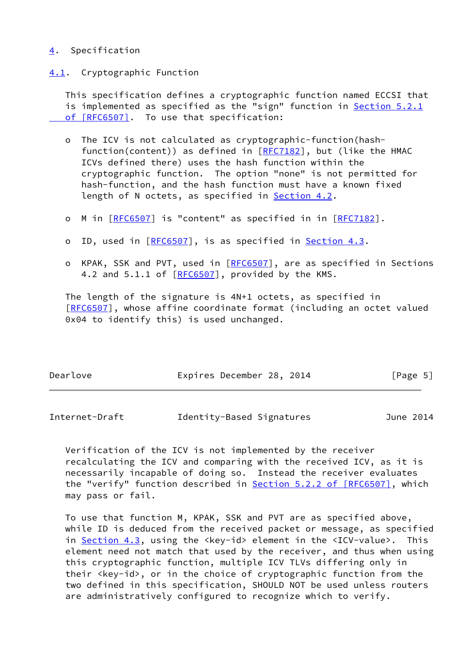### <span id="page-5-0"></span>[4](#page-5-0). Specification

#### <span id="page-5-1"></span>[4.1](#page-5-1). Cryptographic Function

 This specification defines a cryptographic function named ECCSI that is implemented as specified as the "sign" function in [Section](https://datatracker.ietf.org/doc/pdf/rfc6507#section-5.2.1) 5.2.1  [of \[RFC6507\]](https://datatracker.ietf.org/doc/pdf/rfc6507#section-5.2.1). To use that specification:

- o The ICV is not calculated as cryptographic-function(hash function(content)) as defined in  $[REC7182]$ , but (like the HMAC ICVs defined there) uses the hash function within the cryptographic function. The option "none" is not permitted for hash-function, and the hash function must have a known fixed length of N octets, as specified in [Section 4.2](#page-6-0).
- o M in [\[RFC6507](https://datatracker.ietf.org/doc/pdf/rfc6507)] is "content" as specified in in [[RFC7182](https://datatracker.ietf.org/doc/pdf/rfc7182)].
- o ID, used in [\[RFC6507](https://datatracker.ietf.org/doc/pdf/rfc6507)], is as specified in [Section 4.3](#page-6-1).
- o KPAK, SSK and PVT, used in [[RFC6507](https://datatracker.ietf.org/doc/pdf/rfc6507)], are as specified in Sections 4.2 and 5.1.1 of [\[RFC6507](https://datatracker.ietf.org/doc/pdf/rfc6507)], provided by the KMS.

 The length of the signature is 4N+1 octets, as specified in [\[RFC6507](https://datatracker.ietf.org/doc/pdf/rfc6507)], whose affine coordinate format (including an octet valued 0x04 to identify this) is used unchanged.

| Dearlove | Expires December 28, 2014 | [Page 5] |
|----------|---------------------------|----------|
|          |                           |          |

<span id="page-5-2"></span>

| Internet-Draft | Identity-Based Signatures | June 2014 |
|----------------|---------------------------|-----------|
|----------------|---------------------------|-----------|

 Verification of the ICV is not implemented by the receiver recalculating the ICV and comparing with the received ICV, as it is necessarily incapable of doing so. Instead the receiver evaluates the "verify" function described in **Section 5.2.2 of [RFC6507]**, which may pass or fail.

 To use that function M, KPAK, SSK and PVT are as specified above, while ID is deduced from the received packet or message, as specified in [Section 4.3](#page-6-1), using the <key-id> element in the <ICV-value>. This element need not match that used by the receiver, and thus when using this cryptographic function, multiple ICV TLVs differing only in their <key-id>, or in the choice of cryptographic function from the two defined in this specification, SHOULD NOT be used unless routers are administratively configured to recognize which to verify.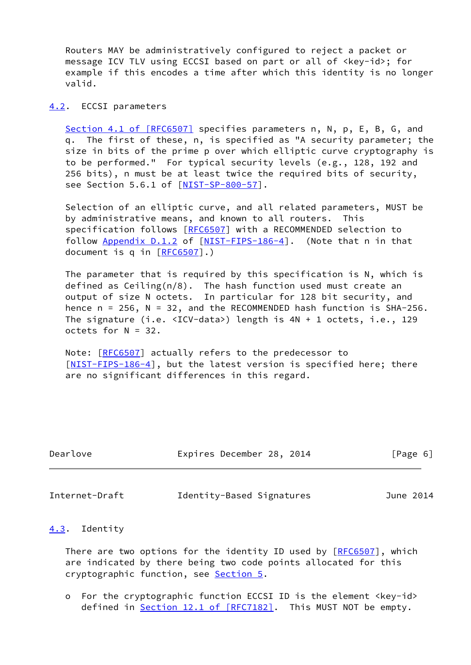Routers MAY be administratively configured to reject a packet or message ICV TLV using ECCSI based on part or all of <key-id>; for example if this encodes a time after which this identity is no longer valid.

#### <span id="page-6-0"></span>[4.2](#page-6-0). ECCSI parameters

Section [4.1 of \[RFC6507\]](https://datatracker.ietf.org/doc/pdf/rfc6507#section-4.1) specifies parameters n, N, p, E, B, G, and q. The first of these, n, is specified as "A security parameter; the size in bits of the prime p over which elliptic curve cryptography is to be performed." For typical security levels (e.g., 128, 192 and 256 bits), n must be at least twice the required bits of security, see Section 5.6.1 of [\[NIST-SP-800-57](#page-9-5)].

 Selection of an elliptic curve, and all related parameters, MUST be by administrative means, and known to all routers. This specification follows [[RFC6507](https://datatracker.ietf.org/doc/pdf/rfc6507)] with a RECOMMENDED selection to follow Appendix D.1.2 of [\[NIST-FIPS-186-4](#page-9-6)]. (Note that n in that document is q in [\[RFC6507](https://datatracker.ietf.org/doc/pdf/rfc6507)].)

 The parameter that is required by this specification is N, which is defined as Ceiling(n/8). The hash function used must create an output of size N octets. In particular for 128 bit security, and hence  $n = 256$ ,  $N = 32$ , and the RECOMMENDED hash function is SHA-256. The signature (i.e. <ICV-data>) length is 4N + 1 octets, i.e., 129 octets for N = 32.

Note: [[RFC6507](https://datatracker.ietf.org/doc/pdf/rfc6507)] actually refers to the predecessor to [\[NIST-FIPS-186-4](#page-9-6)], but the latest version is specified here; there are no significant differences in this regard.

| Dearlove | Expires December 28, 2014 |  | [Page 6] |  |
|----------|---------------------------|--|----------|--|
|          |                           |  |          |  |

<span id="page-6-2"></span>Internet-Draft Identity-Based Signatures June 2014

#### <span id="page-6-1"></span>[4.3](#page-6-1). Identity

 There are two options for the identity ID used by [[RFC6507](https://datatracker.ietf.org/doc/pdf/rfc6507)], which are indicated by there being two code points allocated for this cryptographic function, see [Section 5.](#page-7-0)

 o For the cryptographic function ECCSI ID is the element <key-id> defined in <u>Section 12.1 of [RFC7182]</u>. This MUST NOT be empty.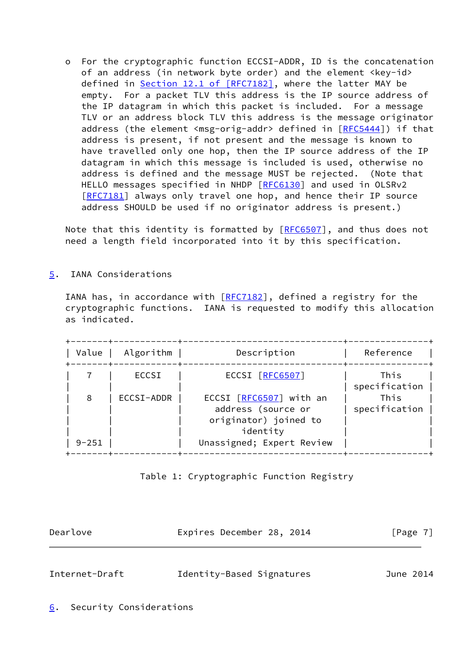o For the cryptographic function ECCSI-ADDR, ID is the concatenation of an address (in network byte order) and the element <key-id> defined in Section [12.1 of \[RFC7182\],](https://datatracker.ietf.org/doc/pdf/rfc7182#section-12.1) where the latter MAY be empty. For a packet TLV this address is the IP source address of the IP datagram in which this packet is included. For a message TLV or an address block TLV this address is the message originator address (the element <msg-orig-addr> defined in [[RFC5444\]](https://datatracker.ietf.org/doc/pdf/rfc5444)) if that address is present, if not present and the message is known to have travelled only one hop, then the IP source address of the IP datagram in which this message is included is used, otherwise no address is defined and the message MUST be rejected. (Note that HELLO messages specified in NHDP [\[RFC6130](https://datatracker.ietf.org/doc/pdf/rfc6130)] and used in OLSRv2 [[RFC7181\]](https://datatracker.ietf.org/doc/pdf/rfc7181) always only travel one hop, and hence their IP source address SHOULD be used if no originator address is present.)

Note that this identity is formatted by [\[RFC6507](https://datatracker.ietf.org/doc/pdf/rfc6507)], and thus does not need a length field incorporated into it by this specification.

<span id="page-7-0"></span>[5](#page-7-0). IANA Considerations

IANA has, in accordance with  $[REC7182]$ , defined a registry for the cryptographic functions. IANA is requested to modify this allocation as indicated.

| Value<br>------+---- | Algorithm  | Description                                                                        | Reference             |
|----------------------|------------|------------------------------------------------------------------------------------|-----------------------|
|                      | ECCSI      | ECCSI [RFC6507]                                                                    | This<br>specification |
| 8                    | ECCSI-ADDR | ECCSI [RFC6507] with an<br>address (source or<br>originator) joined to<br>identity | This<br>specification |
| $9 - 251$            |            | Unassigned; Expert Review                                                          |                       |

# Table 1: Cryptographic Function Registry

<span id="page-7-2"></span><span id="page-7-1"></span>

| Dearlove       | Expires December 28, 2014 | [Page $7$ ] |
|----------------|---------------------------|-------------|
|                |                           |             |
| Internet-Draft | Identity-Based Signatures | June 2014   |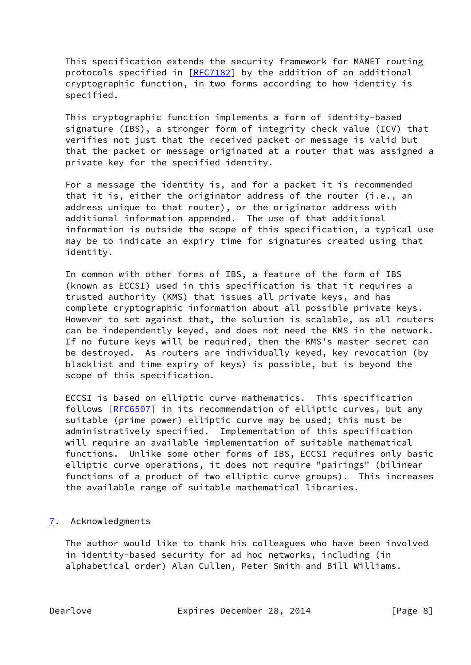This specification extends the security framework for MANET routing protocols specified in [\[RFC7182](https://datatracker.ietf.org/doc/pdf/rfc7182)] by the addition of an additional cryptographic function, in two forms according to how identity is specified.

 This cryptographic function implements a form of identity-based signature (IBS), a stronger form of integrity check value (ICV) that verifies not just that the received packet or message is valid but that the packet or message originated at a router that was assigned a private key for the specified identity.

 For a message the identity is, and for a packet it is recommended that it is, either the originator address of the router (i.e., an address unique to that router), or the originator address with additional information appended. The use of that additional information is outside the scope of this specification, a typical use may be to indicate an expiry time for signatures created using that identity.

 In common with other forms of IBS, a feature of the form of IBS (known as ECCSI) used in this specification is that it requires a trusted authority (KMS) that issues all private keys, and has complete cryptographic information about all possible private keys. However to set against that, the solution is scalable, as all routers can be independently keyed, and does not need the KMS in the network. If no future keys will be required, then the KMS's master secret can be destroyed. As routers are individually keyed, key revocation (by blacklist and time expiry of keys) is possible, but is beyond the scope of this specification.

 ECCSI is based on elliptic curve mathematics. This specification follows [\[RFC6507](https://datatracker.ietf.org/doc/pdf/rfc6507)] in its recommendation of elliptic curves, but any suitable (prime power) elliptic curve may be used; this must be administratively specified. Implementation of this specification will require an available implementation of suitable mathematical functions. Unlike some other forms of IBS, ECCSI requires only basic elliptic curve operations, it does not require "pairings" (bilinear functions of a product of two elliptic curve groups). This increases the available range of suitable mathematical libraries.

<span id="page-8-0"></span>[7](#page-8-0). Acknowledgments

 The author would like to thank his colleagues who have been involved in identity-based security for ad hoc networks, including (in alphabetical order) Alan Cullen, Peter Smith and Bill Williams.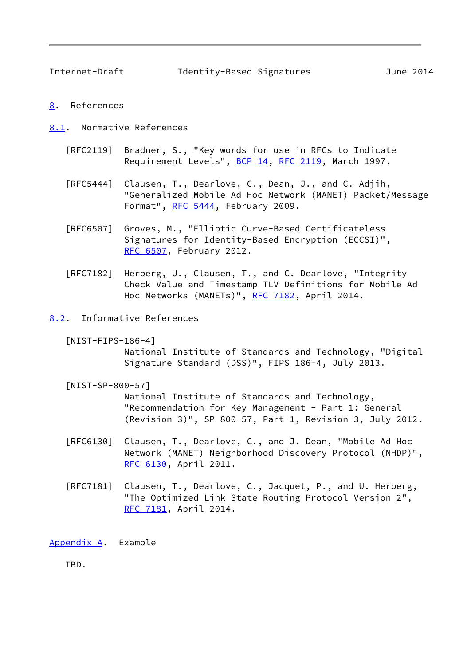<span id="page-9-1"></span>Internet-Draft Identity-Based Signatures June 2014

- <span id="page-9-0"></span>[8](#page-9-0). References
- <span id="page-9-2"></span>[8.1](#page-9-2). Normative References
	- [RFC2119] Bradner, S., "Key words for use in RFCs to Indicate Requirement Levels", [BCP 14](https://datatracker.ietf.org/doc/pdf/bcp14), [RFC 2119](https://datatracker.ietf.org/doc/pdf/rfc2119), March 1997.
	- [RFC5444] Clausen, T., Dearlove, C., Dean, J., and C. Adjih, "Generalized Mobile Ad Hoc Network (MANET) Packet/Message Format", [RFC 5444,](https://datatracker.ietf.org/doc/pdf/rfc5444) February 2009.
	- [RFC6507] Groves, M., "Elliptic Curve-Based Certificateless Signatures for Identity-Based Encryption (ECCSI)", [RFC 6507,](https://datatracker.ietf.org/doc/pdf/rfc6507) February 2012.
	- [RFC7182] Herberg, U., Clausen, T., and C. Dearlove, "Integrity Check Value and Timestamp TLV Definitions for Mobile Ad Hoc Networks (MANETs)", [RFC 7182,](https://datatracker.ietf.org/doc/pdf/rfc7182) April 2014.
- <span id="page-9-6"></span><span id="page-9-3"></span>[8.2](#page-9-3). Informative References
	- [NIST-FIPS-186-4]

 National Institute of Standards and Technology, "Digital Signature Standard (DSS)", FIPS 186-4, July 2013.

<span id="page-9-5"></span>[NIST-SP-800-57]

 National Institute of Standards and Technology, "Recommendation for Key Management - Part 1: General (Revision 3)", SP 800-57, Part 1, Revision 3, July 2012.

- [RFC6130] Clausen, T., Dearlove, C., and J. Dean, "Mobile Ad Hoc Network (MANET) Neighborhood Discovery Protocol (NHDP)", [RFC 6130,](https://datatracker.ietf.org/doc/pdf/rfc6130) April 2011.
- [RFC7181] Clausen, T., Dearlove, C., Jacquet, P., and U. Herberg, "The Optimized Link State Routing Protocol Version 2", [RFC 7181,](https://datatracker.ietf.org/doc/pdf/rfc7181) April 2014.

<span id="page-9-4"></span>[Appendix A.](#page-9-4) Example

TBD.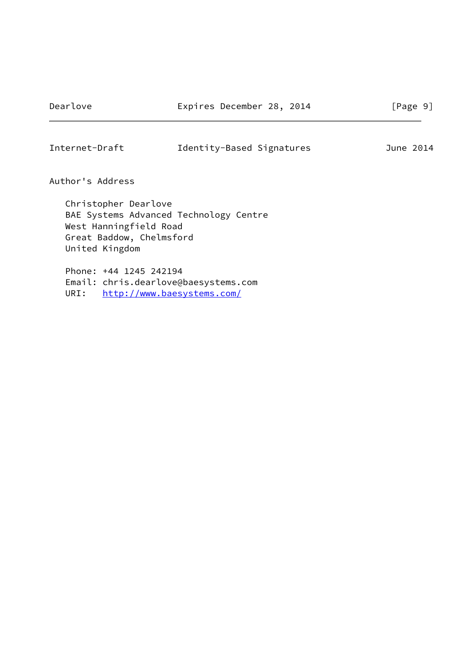# Internet-Draft Identity-Based Signatures June 2014

Author's Address

 Christopher Dearlove BAE Systems Advanced Technology Centre West Hanningfield Road Great Baddow, Chelmsford United Kingdom

 Phone: +44 1245 242194 Email: chris.dearlove@baesystems.com URI: <http://www.baesystems.com/>